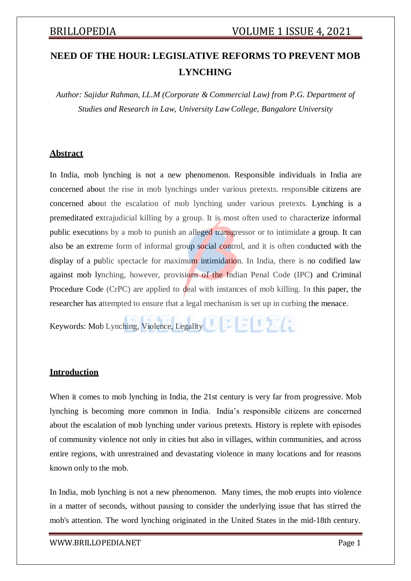# **NEED OF THE HOUR: LEGISLATIVE REFORMS TO PREVENT MOB LYNCHING**

*Author: Sajidur Rahman, LL.M (Corporate & Commercial Law) from P.G. Department of Studies and Research in Law, University Law College, Bangalore University*

## **Abstract**

In India, mob lynching is not a new phenomenon. Responsible individuals in India are concerned about the rise in mob lynchings under various pretexts. responsible citizens are concerned about the escalation of mob lynching under various pretexts. Lynching is a premeditated extrajudicial killing by a group. It is most often used to characterize informal public executions by a mob to punish an alleged transgressor or to intimidate a group. It can also be an extreme form of informal group social control, and it is often conducted with the display of a public spectacle for maximum intimidation. In India, there is no codified law against mob lynching, however, provisions of the Indian Penal Code (IPC) and Criminal Procedure Code (CrPC) are applied to deal with instances of mob killing. In this paper, the researcher has attempted to ensure that a legal mechanism is set up in curbing the menace.

Keywords: Mob Lynching, Violence, Legality

## **Introduction**

When it comes to mob lynching in India, the 21st century is very far from progressive. Mob lynching is becoming more common in India. India's responsible citizens are concerned about the escalation of mob lynching under various pretexts. History is replete with episodes of community violence not only in cities but also in villages, within communities, and across entire regions, with unrestrained and devastating violence in many locations and for reasons known only to the mob.

In India, mob lynching is not a new phenomenon. Many times, the mob erupts into violence in a matter of seconds, without pausing to consider the underlying issue that has stirred the mob's attention. The word lynching originated in the United States in the mid-18th century.

### [WWW.BRILLOPEDIA.NET](http://www.brillopedia.net/) Page 1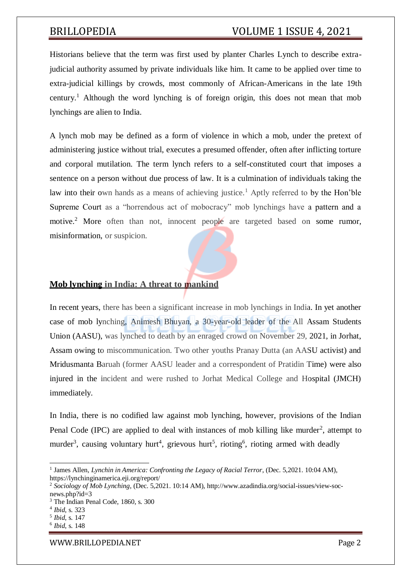Historians believe that the term was first used by planter Charles Lynch to describe extrajudicial authority assumed by private individuals like him. It came to be applied over time to extra-judicial killings by crowds, most commonly of African-Americans in the late 19th century.<sup>1</sup> Although the word lynching is of foreign origin, this does not mean that mob lynchings are alien to India.

A lynch mob may be defined as a form of violence in which a mob, under the pretext of administering justice without trial, executes a presumed offender, often after inflicting torture and corporal mutilation. The term lynch refers to a self-constituted court that imposes a sentence on a person without due process of law. It is a culmination of individuals taking the law into their own hands as a means of achieving justice.<sup>1</sup> Aptly referred to by the Hon'ble Supreme Court as a "horrendous act of mobocracy" mob lynchings have a pattern and a motive.<sup>2</sup> More often than not, innocent people are targeted based on some rumor, misinformation, or suspicion.

## **Mob lynching in India: A threat to mankind**

In recent years, there has been a significant increase in mob lynchings in India. In yet another case of mob lynching, Animesh Bhuyan, a 30-year-old leader of the All Assam Students Union (AASU), was lynched to death by an enraged crowd on November 29, 2021, in Jorhat, Assam owing to miscommunication. Two other youths Pranay Dutta (an AASU activist) and Mridusmanta Baruah (former AASU leader and a correspondent of Pratidin Time) were also injured in the incident and were rushed to Jorhat Medical College and Hospital (JMCH) immediately.

In India, there is no codified law against mob lynching, however, provisions of the Indian Penal Code (IPC) are applied to deal with instances of mob killing like murder<sup>2</sup>, attempt to murder<sup>3</sup>, causing voluntary hurt<sup>4</sup>, grievous hurt<sup>5</sup>, rioting<sup>6</sup>, rioting armed with deadly

<sup>&</sup>lt;sup>1</sup> James Allen, *Lynchin in America: Confronting the Legacy of Racial Terror*, (Dec. 5,2021. 10:04 AM), https://lynchinginamerica.eji.org/report/

<sup>2</sup> *Sociology of Mob Lynching*, (Dec. 5,2021. 10:14 AM), [http://www.azadindia.org/social-issues/view-soc](http://www.azadindia.org/social-issues/view-soc-)news.php?id=3

<sup>&</sup>lt;sup>3</sup> The Indian Penal Code, 1860, s. 300

<sup>4</sup> *Ibid*, s. 323

<sup>5</sup> *Ibid*, s. 147

<sup>6</sup> *Ibid*, s. 148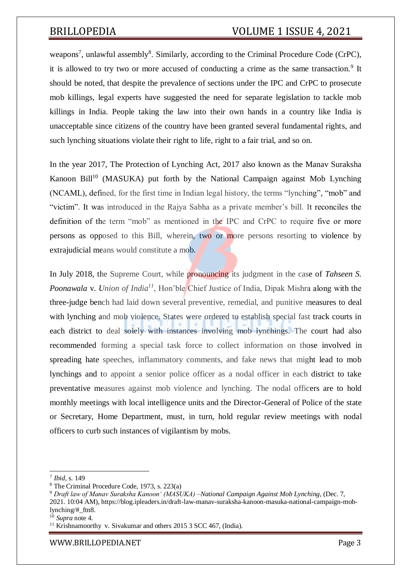weapons<sup>7</sup>, unlawful assembly<sup>8</sup>. Similarly, according to the Criminal Procedure Code (CrPC), it is allowed to try two or more accused of conducting a crime as the same transaction.<sup>9</sup> It should be noted, that despite the prevalence of sections under the IPC and CrPC to prosecute mob killings, legal experts have suggested the need for separate legislation to tackle mob killings in India. People taking the law into their own hands in a country like India is unacceptable since citizens of the country have been granted several fundamental rights, and such lynching situations violate their right to life, right to a fair trial, and so on.

In the year 2017, The [Protection of Lynching Act, 2017 a](http://164.100.24.219/billstexts/rsbilltexts/AsIntroduced/lynch-E-291217.pdf)lso known as the Manav Suraksha Kanoon Bill<sup>10</sup> (MASUKA) put forth by the National Campaign against Mob Lynching (NCAML), defined, for the first time in Indian legal history, the terms "lynching", "mob" and "victim". It was introduced in the Rajya Sabha as a private member's bill. It reconciles the definition of the term "mob" as mentioned in the IPC and CrPC to require five or more persons as opposed to this Bill, wherein, two or more persons resorting to violence by extrajudicial means would constitute a mob.

In July 2018, the Supreme Court, while pronouncing its judgment in the case of *Tahseen S. Poonawala* v. *Union of India<sup>11</sup>*, Hon'ble Chief Justice of India, Dipak Mishra along with the three-judge bench had laid down several preventive, remedial, and punitive measures to deal with lynching and mob violence. States were ordered to establish special fast track courts in each district to deal solely with instances involving mob lynchings. The court had also recommended forming a special task force to collect information on those involved in spreading hate speeches, inflammatory comments, and fake news that might lead to mob lynchings and to appoint a senior police officer as a nodal officer in each district to take preventative measures against mob violence and lynching. The nodal officers are to hold monthly meetings with local intelligence units and the Director-General of Police of the state or Secretary, Home Department, must, in turn, hold regular review meetings with nodal officers to curb such instances of vigilantism by mobs.

<sup>7</sup> *Ibid*, s. 149

<sup>8</sup> The Criminal Procedure Code, 1973, s. 223(a)

<sup>9</sup> *Draft law of Manav Suraksha Kanoon' (MASUKA) –National Campaign Against Mob Lynching*, (Dec. 7, 2021. 10:04 AM), https://blog.ipleaders.in/draft-law-manav-suraksha-kanoon-masuka-national-campaign-moblynching/#\_ftn8.

<sup>10</sup> *Supra* note 4.

<sup>&</sup>lt;sup>11</sup> Krishnamoorthy v. Sivakumar and others 2015 3 SCC 467, (India).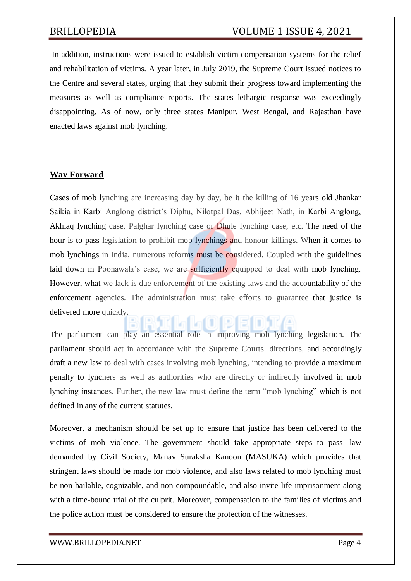In addition, instructions were issued to establish victim compensation systems for the relief and rehabilitation of victims. A year later, in July 2019, the Supreme Court issued notices to the Centre and several states, urging that they submit their progress toward implementing the measures as well as compliance reports. The states lethargic response was exceedingly disappointing. As of now, only three states Manipur, West Bengal, and Rajasthan have enacted laws against mob lynching.

## **Way Forward**

Cases of mob lynching are increasing day by day, be it the killing of 16 years old Jhankar Saikia in Karbi Anglong district's Diphu, Nilotpal Das, Abhijeet Nath, in Karbi Anglong, Akhlaq lynching case, Palghar lynching case or Dhule lynching case, etc. The need of the hour is to pass legislation to prohibit mob lynchings and honour killings. When it comes to mob lynchings in India, numerous reforms must be considered. Coupled with the guidelines laid down in Poonawala's case, we are sufficiently equipped to deal with mob lynching. However, what we lack is due enforcement of the existing laws and the accountability of the enforcement agencies. The administration must take efforts to guarantee that justice is delivered more quickly.

The parliament can play an essential role in improving mob lynching legislation. The parliament should act in accordance with the Supreme Courts directions, and accordingly draft a new law to deal with cases involving mob lynching, intending to provide a maximum penalty to lynchers as well as authorities who are directly or indirectly involved in mob lynching instances. Further, the new law must define the term "mob lynching" which is not defined in any of the current statutes.

Moreover, a mechanism should be set up to ensure that justice has been delivered to the victims of mob violence. The government should take appropriate steps to pass law demanded by Civil Society, Manav Suraksha Kanoon (MASUKA) which provides that stringent laws should be made for mob violence, and also laws related to mob lynching must be non-bailable, cognizable, and non-compoundable, and also invite life imprisonment along with a time-bound trial of the culprit. Moreover, compensation to the families of victims and the police action must be considered to ensure the protection of the witnesses.